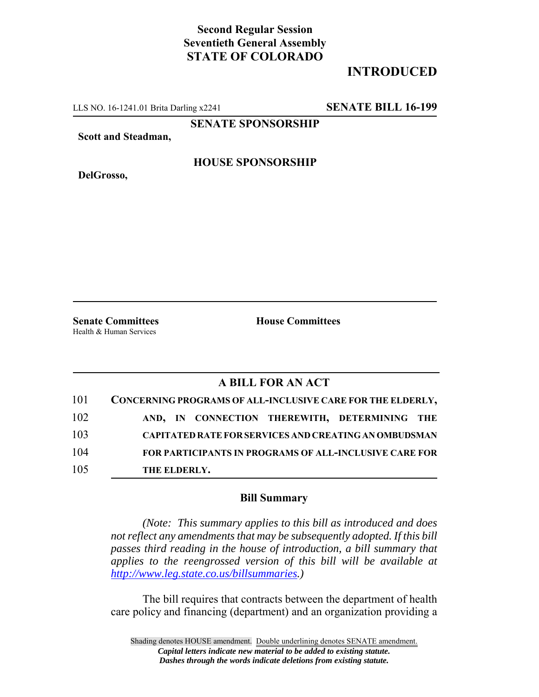## **Second Regular Session Seventieth General Assembly STATE OF COLORADO**

# **INTRODUCED**

LLS NO. 16-1241.01 Brita Darling x2241 **SENATE BILL 16-199**

**SENATE SPONSORSHIP**

**Scott and Steadman,**

**DelGrosso,**

#### **HOUSE SPONSORSHIP**

**Senate Committees House Committees** Health & Human Services

### **A BILL FOR AN ACT**

| 101 | CONCERNING PROGRAMS OF ALL-INCLUSIVE CARE FOR THE ELDERLY,    |
|-----|---------------------------------------------------------------|
| 102 | AND, IN CONNECTION THEREWITH, DETERMINING THE                 |
| 103 | <b>CAPITATED RATE FOR SERVICES AND CREATING AN OMBUDSMAN</b>  |
| 104 | <b>FOR PARTICIPANTS IN PROGRAMS OF ALL-INCLUSIVE CARE FOR</b> |
| 105 | THE ELDERLY.                                                  |

#### **Bill Summary**

*(Note: This summary applies to this bill as introduced and does not reflect any amendments that may be subsequently adopted. If this bill passes third reading in the house of introduction, a bill summary that applies to the reengrossed version of this bill will be available at http://www.leg.state.co.us/billsummaries.)*

The bill requires that contracts between the department of health care policy and financing (department) and an organization providing a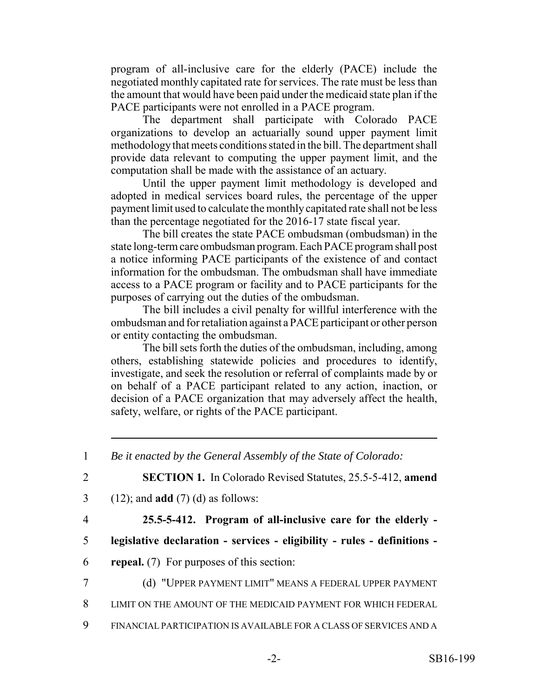program of all-inclusive care for the elderly (PACE) include the negotiated monthly capitated rate for services. The rate must be less than the amount that would have been paid under the medicaid state plan if the PACE participants were not enrolled in a PACE program.

The department shall participate with Colorado PACE organizations to develop an actuarially sound upper payment limit methodology that meets conditions stated in the bill. The department shall provide data relevant to computing the upper payment limit, and the computation shall be made with the assistance of an actuary.

Until the upper payment limit methodology is developed and adopted in medical services board rules, the percentage of the upper payment limit used to calculate the monthly capitated rate shall not be less than the percentage negotiated for the 2016-17 state fiscal year.

The bill creates the state PACE ombudsman (ombudsman) in the state long-term care ombudsman program. Each PACE program shall post a notice informing PACE participants of the existence of and contact information for the ombudsman. The ombudsman shall have immediate access to a PACE program or facility and to PACE participants for the purposes of carrying out the duties of the ombudsman.

The bill includes a civil penalty for willful interference with the ombudsman and for retaliation against a PACE participant or other person or entity contacting the ombudsman.

The bill sets forth the duties of the ombudsman, including, among others, establishing statewide policies and procedures to identify, investigate, and seek the resolution or referral of complaints made by or on behalf of a PACE participant related to any action, inaction, or decision of a PACE organization that may adversely affect the health, safety, welfare, or rights of the PACE participant.

4 **25.5-5-412. Program of all-inclusive care for the elderly -**

- 5 **legislative declaration services eligibility rules definitions -**
- 6 **repeal.** (7) For purposes of this section:
- 7 (d) "UPPER PAYMENT LIMIT" MEANS A FEDERAL UPPER PAYMENT
- 8 LIMIT ON THE AMOUNT OF THE MEDICAID PAYMENT FOR WHICH FEDERAL
- 9 FINANCIAL PARTICIPATION IS AVAILABLE FOR A CLASS OF SERVICES AND A

<sup>1</sup> *Be it enacted by the General Assembly of the State of Colorado:*

<sup>2</sup> **SECTION 1.** In Colorado Revised Statutes, 25.5-5-412, **amend**

<sup>3</sup> (12); and **add** (7) (d) as follows: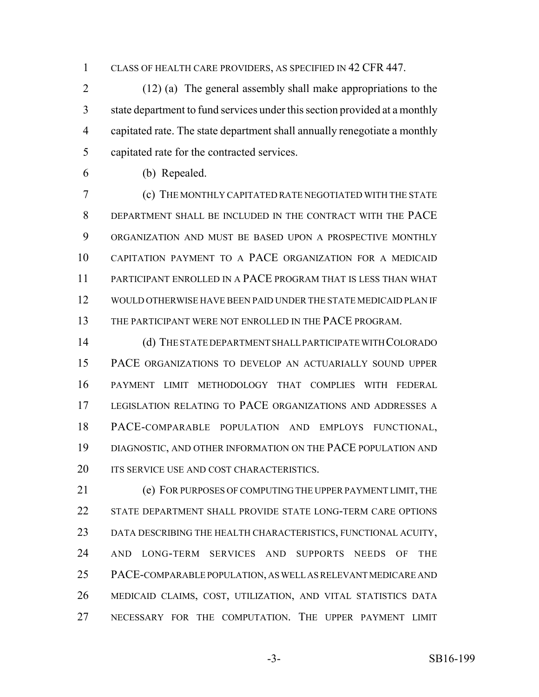CLASS OF HEALTH CARE PROVIDERS, AS SPECIFIED IN 42 CFR 447.

 (12) (a) The general assembly shall make appropriations to the state department to fund services under this section provided at a monthly capitated rate. The state department shall annually renegotiate a monthly capitated rate for the contracted services.

(b) Repealed.

 (c) THE MONTHLY CAPITATED RATE NEGOTIATED WITH THE STATE DEPARTMENT SHALL BE INCLUDED IN THE CONTRACT WITH THE PACE ORGANIZATION AND MUST BE BASED UPON A PROSPECTIVE MONTHLY CAPITATION PAYMENT TO A PACE ORGANIZATION FOR A MEDICAID PARTICIPANT ENROLLED IN A PACE PROGRAM THAT IS LESS THAN WHAT WOULD OTHERWISE HAVE BEEN PAID UNDER THE STATE MEDICAID PLAN IF 13 THE PARTICIPANT WERE NOT ENROLLED IN THE PACE PROGRAM.

 (d) THE STATE DEPARTMENT SHALL PARTICIPATE WITH COLORADO PACE ORGANIZATIONS TO DEVELOP AN ACTUARIALLY SOUND UPPER PAYMENT LIMIT METHODOLOGY THAT COMPLIES WITH FEDERAL LEGISLATION RELATING TO PACE ORGANIZATIONS AND ADDRESSES A PACE-COMPARABLE POPULATION AND EMPLOYS FUNCTIONAL, DIAGNOSTIC, AND OTHER INFORMATION ON THE PACE POPULATION AND 20 ITS SERVICE USE AND COST CHARACTERISTICS.

 (e) FOR PURPOSES OF COMPUTING THE UPPER PAYMENT LIMIT, THE STATE DEPARTMENT SHALL PROVIDE STATE LONG-TERM CARE OPTIONS DATA DESCRIBING THE HEALTH CHARACTERISTICS, FUNCTIONAL ACUITY, AND LONG-TERM SERVICES AND SUPPORTS NEEDS OF THE PACE-COMPARABLE POPULATION, AS WELL AS RELEVANT MEDICARE AND MEDICAID CLAIMS, COST, UTILIZATION, AND VITAL STATISTICS DATA NECESSARY FOR THE COMPUTATION. THE UPPER PAYMENT LIMIT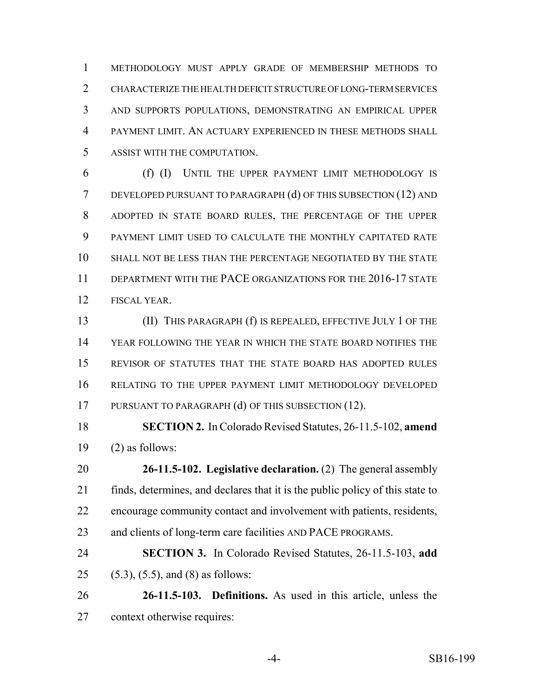METHODOLOGY MUST APPLY GRADE OF MEMBERSHIP METHODS TO CHARACTERIZE THE HEALTH DEFICIT STRUCTURE OF LONG-TERM SERVICES AND SUPPORTS POPULATIONS, DEMONSTRATING AN EMPIRICAL UPPER PAYMENT LIMIT. AN ACTUARY EXPERIENCED IN THESE METHODS SHALL ASSIST WITH THE COMPUTATION.

 (f) (I) UNTIL THE UPPER PAYMENT LIMIT METHODOLOGY IS DEVELOPED PURSUANT TO PARAGRAPH (d) OF THIS SUBSECTION (12) AND ADOPTED IN STATE BOARD RULES, THE PERCENTAGE OF THE UPPER PAYMENT LIMIT USED TO CALCULATE THE MONTHLY CAPITATED RATE SHALL NOT BE LESS THAN THE PERCENTAGE NEGOTIATED BY THE STATE 11 DEPARTMENT WITH THE PACE ORGANIZATIONS FOR THE 2016-17 STATE FISCAL YEAR.

 (II) THIS PARAGRAPH (f) IS REPEALED, EFFECTIVE JULY 1 OF THE YEAR FOLLOWING THE YEAR IN WHICH THE STATE BOARD NOTIFIES THE REVISOR OF STATUTES THAT THE STATE BOARD HAS ADOPTED RULES RELATING TO THE UPPER PAYMENT LIMIT METHODOLOGY DEVELOPED 17 PURSUANT TO PARAGRAPH (d) OF THIS SUBSECTION (12).

 **SECTION 2.** In Colorado Revised Statutes, 26-11.5-102, **amend** (2) as follows:

 **26-11.5-102. Legislative declaration.** (2) The general assembly finds, determines, and declares that it is the public policy of this state to encourage community contact and involvement with patients, residents, and clients of long-term care facilities AND PACE PROGRAMS.

 **SECTION 3.** In Colorado Revised Statutes, 26-11.5-103, **add** (5.3), (5.5), and (8) as follows:

 **26-11.5-103. Definitions.** As used in this article, unless the context otherwise requires: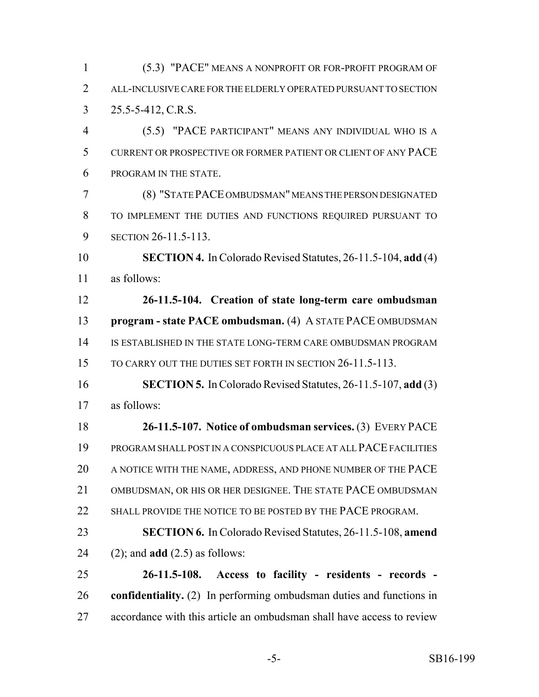(5.3) "PACE" MEANS A NONPROFIT OR FOR-PROFIT PROGRAM OF ALL-INCLUSIVE CARE FOR THE ELDERLY OPERATED PURSUANT TO SECTION 25.5-5-412, C.R.S.

 (5.5) "PACE PARTICIPANT" MEANS ANY INDIVIDUAL WHO IS A CURRENT OR PROSPECTIVE OR FORMER PATIENT OR CLIENT OF ANY PACE PROGRAM IN THE STATE.

 (8) "STATE PACE OMBUDSMAN" MEANS THE PERSON DESIGNATED TO IMPLEMENT THE DUTIES AND FUNCTIONS REQUIRED PURSUANT TO **SECTION 26-11.5-113.** 

 **SECTION 4.** In Colorado Revised Statutes, 26-11.5-104, **add** (4) as follows:

 **26-11.5-104. Creation of state long-term care ombudsman program - state PACE ombudsman.** (4) A STATE PACE OMBUDSMAN IS ESTABLISHED IN THE STATE LONG-TERM CARE OMBUDSMAN PROGRAM 15 TO CARRY OUT THE DUTIES SET FORTH IN SECTION 26-11.5-113.

 **SECTION 5.** In Colorado Revised Statutes, 26-11.5-107, **add** (3) as follows:

 **26-11.5-107. Notice of ombudsman services.** (3) EVERY PACE PROGRAM SHALL POST IN A CONSPICUOUS PLACE AT ALL PACE FACILITIES A NOTICE WITH THE NAME, ADDRESS, AND PHONE NUMBER OF THE PACE 21 OMBUDSMAN, OR HIS OR HER DESIGNEE. THE STATE PACE OMBUDSMAN 22 SHALL PROVIDE THE NOTICE TO BE POSTED BY THE PACE PROGRAM.

 **SECTION 6.** In Colorado Revised Statutes, 26-11.5-108, **amend** (2); and **add** (2.5) as follows:

 **26-11.5-108. Access to facility - residents - records - confidentiality.** (2) In performing ombudsman duties and functions in accordance with this article an ombudsman shall have access to review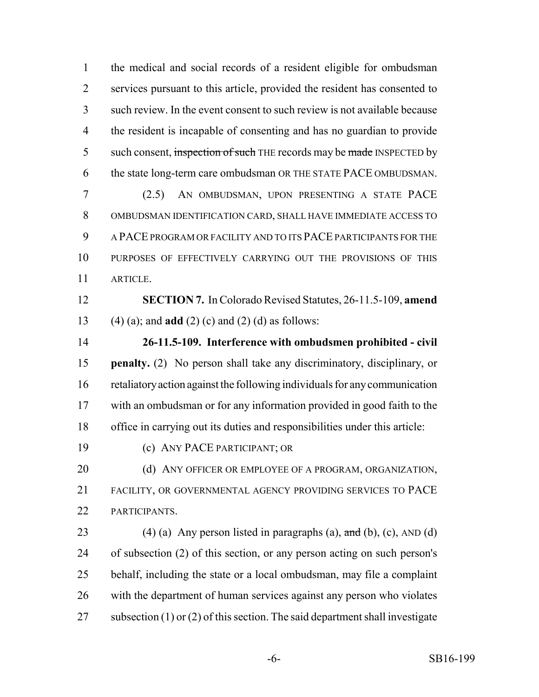the medical and social records of a resident eligible for ombudsman services pursuant to this article, provided the resident has consented to such review. In the event consent to such review is not available because the resident is incapable of consenting and has no guardian to provide 5 such consent, inspection of such THE records may be made INSPECTED by the state long-term care ombudsman OR THE STATE PACE OMBUDSMAN.

 (2.5) AN OMBUDSMAN, UPON PRESENTING A STATE PACE OMBUDSMAN IDENTIFICATION CARD, SHALL HAVE IMMEDIATE ACCESS TO A PACE PROGRAM OR FACILITY AND TO ITS PACE PARTICIPANTS FOR THE PURPOSES OF EFFECTIVELY CARRYING OUT THE PROVISIONS OF THIS ARTICLE.

 **SECTION 7.** In Colorado Revised Statutes, 26-11.5-109, **amend** (4) (a); and **add** (2) (c) and (2) (d) as follows:

 **26-11.5-109. Interference with ombudsmen prohibited - civil penalty.** (2) No person shall take any discriminatory, disciplinary, or retaliatory action against the following individuals for any communication with an ombudsman or for any information provided in good faith to the office in carrying out its duties and responsibilities under this article:

(c) ANY PACE PARTICIPANT; OR

20 (d) ANY OFFICER OR EMPLOYEE OF A PROGRAM, ORGANIZATION, FACILITY, OR GOVERNMENTAL AGENCY PROVIDING SERVICES TO PACE PARTICIPANTS.

23 (4) (a) Any person listed in paragraphs (a),  $\text{and}$  (b), (c), AND (d) of subsection (2) of this section, or any person acting on such person's behalf, including the state or a local ombudsman, may file a complaint with the department of human services against any person who violates 27 subsection (1) or (2) of this section. The said department shall investigate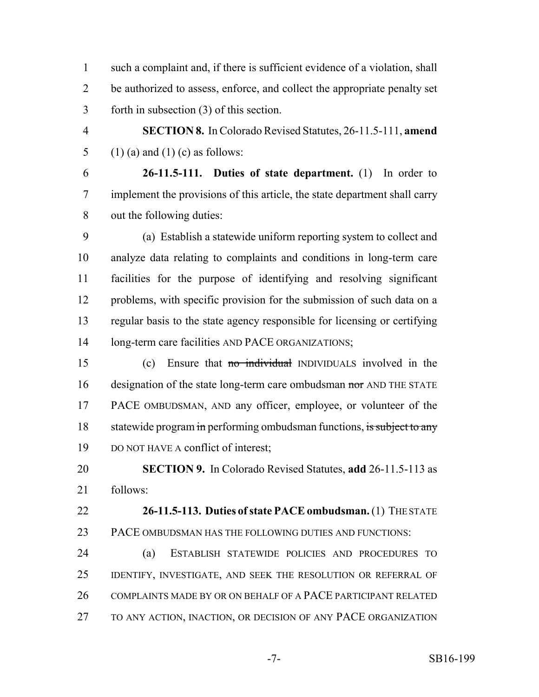such a complaint and, if there is sufficient evidence of a violation, shall be authorized to assess, enforce, and collect the appropriate penalty set forth in subsection (3) of this section.

 **SECTION 8.** In Colorado Revised Statutes, 26-11.5-111, **amend** 5 (1) (a) and (1) (c) as follows:

 **26-11.5-111. Duties of state department.** (1) In order to implement the provisions of this article, the state department shall carry out the following duties:

 (a) Establish a statewide uniform reporting system to collect and analyze data relating to complaints and conditions in long-term care facilities for the purpose of identifying and resolving significant 12 problems, with specific provision for the submission of such data on a regular basis to the state agency responsible for licensing or certifying 14 long-term care facilities AND PACE ORGANIZATIONS;

 (c) Ensure that no individual INDIVIDUALS involved in the 16 designation of the state long-term care ombudsman nor AND THE STATE PACE OMBUDSMAN, AND any officer, employee, or volunteer of the 18 statewide program in performing ombudsman functions, is subject to any DO NOT HAVE A conflict of interest;

 **SECTION 9.** In Colorado Revised Statutes, **add** 26-11.5-113 as follows:

 **26-11.5-113. Duties of state PACE ombudsman.** (1) THE STATE PACE OMBUDSMAN HAS THE FOLLOWING DUTIES AND FUNCTIONS:

 (a) ESTABLISH STATEWIDE POLICIES AND PROCEDURES TO IDENTIFY, INVESTIGATE, AND SEEK THE RESOLUTION OR REFERRAL OF 26 COMPLAINTS MADE BY OR ON BEHALF OF A PACE PARTICIPANT RELATED TO ANY ACTION, INACTION, OR DECISION OF ANY PACE ORGANIZATION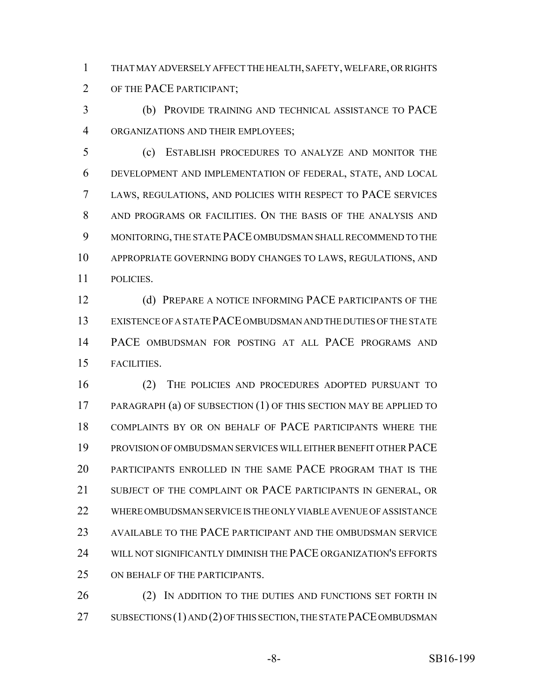THAT MAY ADVERSELY AFFECT THE HEALTH, SAFETY, WELFARE, OR RIGHTS OF THE PACE PARTICIPANT;

 (b) PROVIDE TRAINING AND TECHNICAL ASSISTANCE TO PACE ORGANIZATIONS AND THEIR EMPLOYEES;

 (c) ESTABLISH PROCEDURES TO ANALYZE AND MONITOR THE DEVELOPMENT AND IMPLEMENTATION OF FEDERAL, STATE, AND LOCAL LAWS, REGULATIONS, AND POLICIES WITH RESPECT TO PACE SERVICES AND PROGRAMS OR FACILITIES. ON THE BASIS OF THE ANALYSIS AND MONITORING, THE STATE PACE OMBUDSMAN SHALL RECOMMEND TO THE APPROPRIATE GOVERNING BODY CHANGES TO LAWS, REGULATIONS, AND POLICIES.

12 (d) PREPARE A NOTICE INFORMING PACE PARTICIPANTS OF THE EXISTENCE OF A STATE PACE OMBUDSMAN AND THE DUTIES OF THE STATE PACE OMBUDSMAN FOR POSTING AT ALL PACE PROGRAMS AND FACILITIES.

 (2) THE POLICIES AND PROCEDURES ADOPTED PURSUANT TO PARAGRAPH (a) OF SUBSECTION (1) OF THIS SECTION MAY BE APPLIED TO COMPLAINTS BY OR ON BEHALF OF PACE PARTICIPANTS WHERE THE PROVISION OF OMBUDSMAN SERVICES WILL EITHER BENEFIT OTHER PACE PARTICIPANTS ENROLLED IN THE SAME PACE PROGRAM THAT IS THE 21 SUBJECT OF THE COMPLAINT OR PACE PARTICIPANTS IN GENERAL, OR WHERE OMBUDSMAN SERVICE IS THE ONLY VIABLE AVENUE OF ASSISTANCE AVAILABLE TO THE PACE PARTICIPANT AND THE OMBUDSMAN SERVICE WILL NOT SIGNIFICANTLY DIMINISH THE PACE ORGANIZATION'S EFFORTS ON BEHALF OF THE PARTICIPANTS.

26 (2) IN ADDITION TO THE DUTIES AND FUNCTIONS SET FORTH IN 27 SUBSECTIONS (1) AND (2) OF THIS SECTION, THE STATE PACE OMBUDSMAN